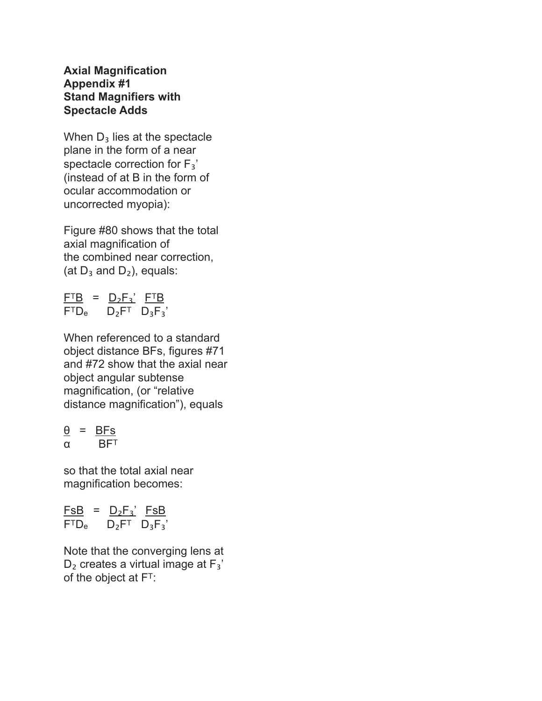## **Axial Magnification Appendix #1 Stand Magnifiers with Spectacle Adds**

When  $D_3$  lies at the spectacle plane in the form of a near spectacle correction for F<sub>3</sub>' (instead of at B in the form of ocular accommodation or uncorrected myopia):

Figure #80 shows that the total axial magnification of the combined near correction, (at  $D_3$  and  $D_2$ ), equals:

 $F^{T}B = D_{2}F_{3}$ '  $F^{T}B$  $F<sup>T</sup>D<sub>e</sub>$   $D<sub>2</sub>F<sup>T</sup>$   $D<sub>3</sub>F<sub>3</sub>'$ 

When referenced to a standard object distance BFs, figures #71 and #72 show that the axial near object angular subtense magnification, (or "relative distance magnification"), equals

$$
\frac{\theta}{\alpha} = \frac{BFs}{BF^T}
$$

so that the total axial near magnification becomes:

 $FSB = D_2F_3'$  FsB  $F<sup>T</sup>D<sub>e</sub>$   $D<sub>2</sub>F<sup>T</sup>$   $D<sub>3</sub>F<sub>3</sub>'$ 

Note that the converging lens at  $D_2$  creates a virtual image at  $F_3'$ of the object at F<sup>T</sup>: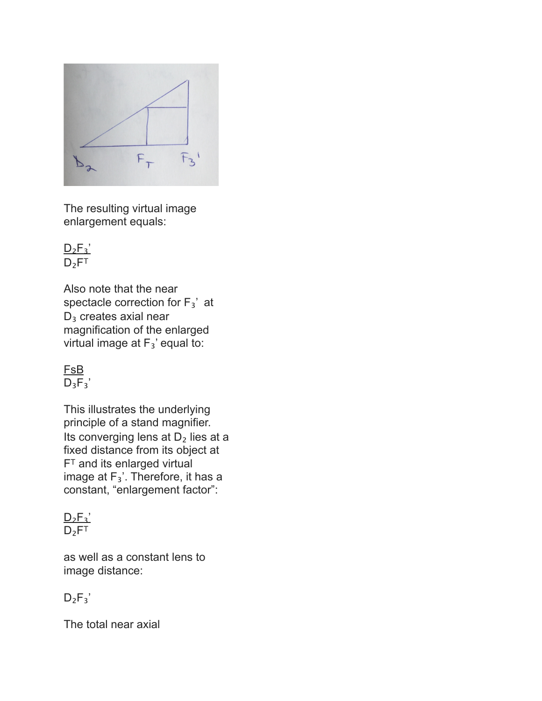

The resulting virtual image enlargement equals:

 $D_2F_3'$  $D_2F^T$ 

Also note that the near spectacle correction for  $F_3'$  at  $D_3$  creates axial near magnification of the enlarged virtual image at  $F_3$ ' equal to:

FsB  $D_3F_3'$ 

This illustrates the underlying principle of a stand magnifier. Its converging lens at  $D_2$  lies at a fixed distance from its object at F<sup>T</sup> and its enlarged virtual image at  $F_3'$ . Therefore, it has a constant, "enlargement factor":

 $D_2F_3$  $D_2$ FT

as well as a constant lens to image distance:

 $D_2F_3'$ 

The total near axial